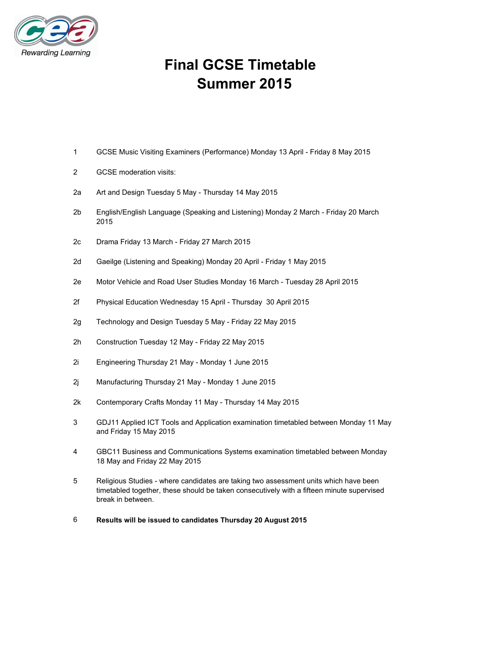

# **Final GCSE Timetable Summer 2015**

- 1 GCSE Music Visiting Examiners (Performance) Monday 13 April Friday 8 May 2015
- 2 GCSE moderation visits:
- 2a Art and Design Tuesday 5 May Thursday 14 May 2015
- 2b English/English Language (Speaking and Listening) Monday 2 March Friday 20 March 2015
- 2c Drama Friday 13 March Friday 27 March 2015
- 2d Gaeilge (Listening and Speaking) Monday 20 April Friday 1 May 2015
- 2e Motor Vehicle and Road User Studies Monday 16 March Tuesday 28 April 2015
- 2f Physical Education Wednesday 15 April Thursday 30 April 2015
- 2g Technology and Design Tuesday 5 May Friday 22 May 2015
- 2h Construction Tuesday 12 May Friday 22 May 2015
- 2i Engineering Thursday 21 May Monday 1 June 2015
- 2j Manufacturing Thursday 21 May Monday 1 June 2015
- 2k Contemporary Crafts Monday 11 May Thursday 14 May 2015
- 3 GDJ11 Applied ICT Tools and Application examination timetabled between Monday 11 May and Friday 15 May 2015
- 4 GBC11 Business and Communications Systems examination timetabled between Monday 18 May and Friday 22 May 2015
- 5 Religious Studies where candidates are taking two assessment units which have been timetabled together, these should be taken consecutively with a fifteen minute supervised break in between.
- 6 **Results will be issued to candidates Thursday 20 August 2015**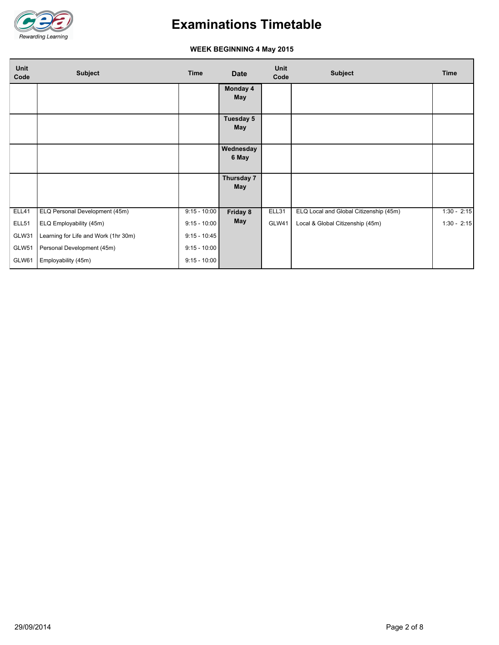

### **WEEK BEGINNING 4 May 2015**

| Unit<br>Code | <b>Subject</b>                       | <b>Time</b>    | <b>Date</b>             | Unit<br>Code | <b>Subject</b>                         | <b>Time</b>   |  |
|--------------|--------------------------------------|----------------|-------------------------|--------------|----------------------------------------|---------------|--|
|              |                                      |                | Monday 4<br><b>May</b>  |              |                                        |               |  |
|              |                                      |                | Tuesday 5<br><b>May</b> |              |                                        |               |  |
|              |                                      |                | Wednesday<br>6 May      |              |                                        |               |  |
|              |                                      |                | Thursday 7<br>May       |              |                                        |               |  |
| ELL41        | ELQ Personal Development (45m)       | $9:15 - 10:00$ | Friday 8                | ELL31        | ELQ Local and Global Citizenship (45m) | $1:30 - 2:15$ |  |
| ELL51        | ELQ Employability (45m)              | $9:15 - 10:00$ | <b>May</b>              | GLW41        | Local & Global Citizenship (45m)       | $1:30 - 2:15$ |  |
| GLW31        | Learning for Life and Work (1hr 30m) | $9:15 - 10:45$ |                         |              |                                        |               |  |
| GLW51        | Personal Development (45m)           | $9:15 - 10:00$ |                         |              |                                        |               |  |
| GLW61        | Employability (45m)                  | $9:15 - 10:00$ |                         |              |                                        |               |  |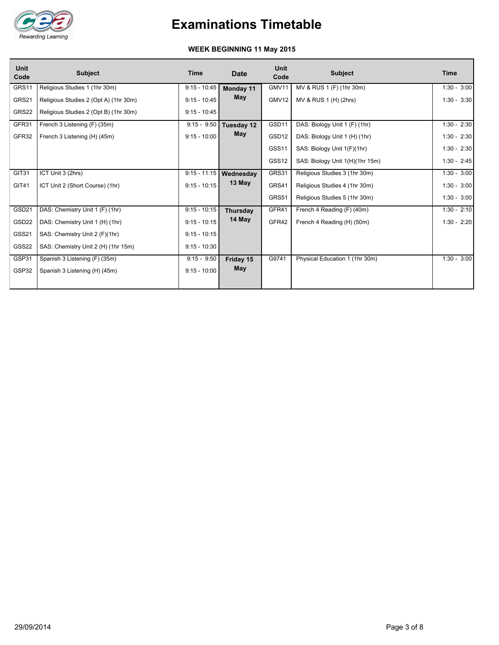

### **WEEK BEGINNING 11 May 2015**

| <b>Unit</b><br>Code | <b>Subject</b>                        | Time           | <b>Date</b>              | Unit<br>Code      | <b>Subject</b>                  | Time          |
|---------------------|---------------------------------------|----------------|--------------------------|-------------------|---------------------------------|---------------|
| GRS11               | Religious Studies 1 (1hr 30m)         | $9:15 - 10:45$ | Monday 11                | GMV11             | MV & RUS 1 (F) (1hr 30m)        | $1:30 - 3:00$ |
| GRS21               | Religious Studies 2 (Opt A) (1hr 30m) | $9:15 - 10:45$ | <b>May</b>               | GMV12             | MV & RUS 1 (H) (2hrs)           | $1:30 - 3:30$ |
| GRS22               | Religious Studies 2 (Opt B) (1hr 30m) | $9:15 - 10:45$ |                          |                   |                                 |               |
| GFR31               | French 3 Listening (F) (35m)          | $9:15 - 9:50$  | Tuesday 12               | GSD11             | DAS: Biology Unit 1 (F) (1hr)   | $1:30 - 2:30$ |
| GFR32               | French 3 Listening (H) (45m)          | $9:15 - 10:00$ | <b>May</b>               | GSD <sub>12</sub> | DAS: Biology Unit 1 (H) (1hr)   | $1:30 - 2:30$ |
|                     |                                       |                |                          | GSS <sub>11</sub> | SAS: Biology Unit 1(F)(1hr)     | $1:30 - 2:30$ |
|                     |                                       |                |                          | GSS <sub>12</sub> | SAS: Biology Unit 1(H)(1hr 15m) | $1:30 - 2:45$ |
| GIT31               | ICT Unit 3 (2hrs)                     |                | $9:15 - 11:15$ Wednesday | GRS31             | Religious Studies 3 (1hr 30m)   | $1:30 - 3:00$ |
| <b>GIT41</b>        | ICT Unit 2 (Short Course) (1hr)       | $9:15 - 10:15$ | 13 May                   | GRS41             | Religious Studies 4 (1hr 30m)   | $1:30 - 3:00$ |
|                     |                                       |                |                          | GRS51             | Religious Studies 5 (1hr 30m)   | $1:30 - 3:00$ |
| GSD21               | DAS: Chemistry Unit 1 (F) (1hr)       | $9:15 - 10:15$ | Thursday                 | GFR41             | French 4 Reading (F) (40m)      | $1:30 - 2:10$ |
| GSD <sub>22</sub>   | DAS: Chemistry Unit 1 (H) (1hr)       | $9:15 - 10:15$ | 14 May                   | GFR42             | French 4 Reading (H) (50m)      | $1:30 - 2:20$ |
| GSS21               | SAS: Chemistry Unit 2 (F)(1hr)        | $9:15 - 10:15$ |                          |                   |                                 |               |
| GSS22               | SAS: Chemistry Unit 2 (H) (1hr 15m)   | $9:15 - 10:30$ |                          |                   |                                 |               |
| GSP31               | Spanish 3 Listening (F) (35m)         | $9:15 - 9:50$  | Friday 15                | G9741             | Physical Education 1 (1hr 30m)  | $1:30 - 3:00$ |
| GSP32               | Spanish 3 Listening (H) (45m)         | $9:15 - 10:00$ | <b>May</b>               |                   |                                 |               |
|                     |                                       |                |                          |                   |                                 |               |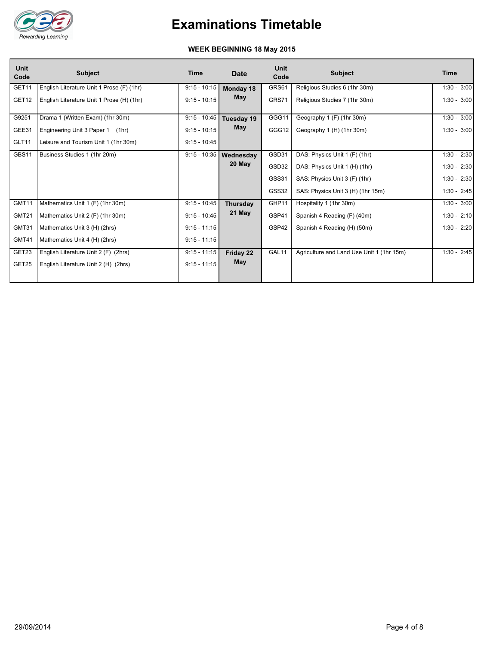

### **WEEK BEGINNING 18 May 2015**

| <b>Unit</b><br>Code | <b>Subject</b>                            | Time           | <b>Date</b> | <b>Unit</b><br>Code | <b>Subject</b>                            | Time          |
|---------------------|-------------------------------------------|----------------|-------------|---------------------|-------------------------------------------|---------------|
| GET11               | English Literature Unit 1 Prose (F) (1hr) | $9:15 - 10:15$ | Monday 18   | GRS61               | Religious Studies 6 (1hr 30m)             | $1:30 - 3:00$ |
| GET <sub>12</sub>   | English Literature Unit 1 Prose (H) (1hr) | $9:15 - 10:15$ | May         | GRS71               | Religious Studies 7 (1hr 30m)             | $1:30 - 3:00$ |
| G9251               | Drama 1 (Written Exam) (1hr 30m)          | $9:15 - 10:45$ | Tuesday 19  | GGG11               | Geography 1 (F) (1hr 30m)                 | $1:30 - 3:00$ |
| GEE31               | Engineering Unit 3 Paper 1 (1hr)          | $9:15 - 10:15$ | May         | GGG12               | Geography 1 (H) (1hr 30m)                 | $1:30 - 3:00$ |
| GLT11               | Leisure and Tourism Unit 1 (1hr 30m)      | $9:15 - 10:45$ |             |                     |                                           |               |
| GBS11               | Business Studies 1 (1hr 20m)              | $9:15 - 10:35$ | Wednesday   | GSD31               | DAS: Physics Unit 1 (F) (1hr)             | $1:30 - 2:30$ |
|                     |                                           |                | 20 May      | GSD32               | DAS: Physics Unit 1 (H) (1hr)             | $1:30 - 2:30$ |
|                     |                                           |                |             | <b>GSS31</b>        | SAS: Physics Unit 3 (F) (1hr)             | $1:30 - 2:30$ |
|                     |                                           |                |             | GSS32               | SAS: Physics Unit 3 (H) (1hr 15m)         | $1:30 - 2:45$ |
| GMT11               | Mathematics Unit 1 (F) (1hr 30m)          | $9:15 - 10:45$ | Thursday    | GHP11               | Hospitality 1 (1hr 30m)                   | $1:30 - 3:00$ |
| GMT21               | Mathematics Unit 2 (F) (1hr 30m)          | $9:15 - 10:45$ | 21 May      | GSP41               | Spanish 4 Reading (F) (40m)               | $1:30 - 2:10$ |
| GMT31               | Mathematics Unit 3 (H) (2hrs)             | $9:15 - 11:15$ |             | GSP42               | Spanish 4 Reading (H) (50m)               | $1:30 - 2:20$ |
| GMT41               | Mathematics Unit 4 (H) (2hrs)             | $9:15 - 11:15$ |             |                     |                                           |               |
| GET23               | English Literature Unit 2 (F) (2hrs)      | $9:15 - 11:15$ | Friday 22   | GAL11               | Agriculture and Land Use Unit 1 (1hr 15m) | $1:30 - 2:45$ |
| GET25               | English Literature Unit 2 (H) (2hrs)      | $9:15 - 11:15$ | May         |                     |                                           |               |
|                     |                                           |                |             |                     |                                           |               |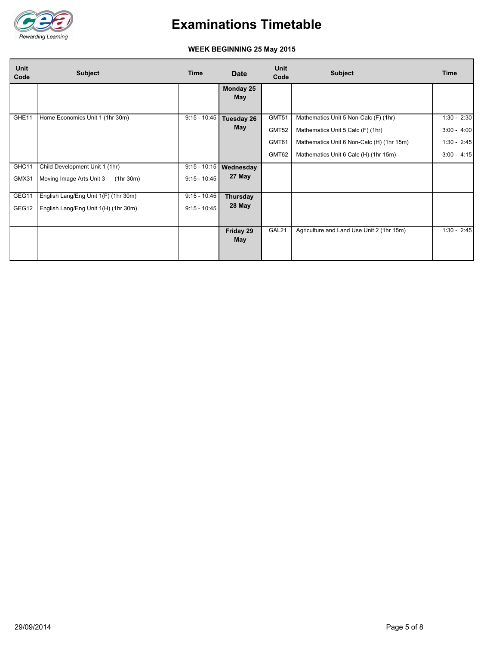

### **WEEK BEGINNING 25 May 2015**

| <b>Unit</b><br>Code | Subject                                                                      | <b>Time</b>                      | <b>Date</b>              | Unit<br>Code                     | <b>Subject</b>                                                                                                                                                   | <b>Time</b>                                                      |
|---------------------|------------------------------------------------------------------------------|----------------------------------|--------------------------|----------------------------------|------------------------------------------------------------------------------------------------------------------------------------------------------------------|------------------------------------------------------------------|
|                     |                                                                              |                                  | Monday 25<br>May         |                                  |                                                                                                                                                                  |                                                                  |
| GHE11               | Home Economics Unit 1 (1hr 30m)                                              | $9:15 - 10:45$                   | Tuesday 26<br><b>May</b> | GMT51<br>GMT52<br>GMT61<br>GMT62 | Mathematics Unit 5 Non-Calc (F) (1hr)<br>Mathematics Unit 5 Calc (F) (1hr)<br>Mathematics Unit 6 Non-Calc (H) (1hr 15m)<br>Mathematics Unit 6 Calc (H) (1hr 15m) | $1:30 - 2:30$<br>$3:00 - 4:00$<br>$1:30 - 2:45$<br>$3:00 - 4:15$ |
| GHC11<br>GMX31      | Child Development Unit 1 (1hr)<br>Moving Image Arts Unit 3<br>(1hr 30m)      | $9:15 - 10:15$<br>$9:15 - 10:45$ | Wednesday<br>27 May      |                                  |                                                                                                                                                                  |                                                                  |
| GEG11<br>GEG12      | English Lang/Eng Unit 1(F) (1hr 30m)<br>English Lang/Eng Unit 1(H) (1hr 30m) | $9:15 - 10:45$<br>$9:15 - 10:45$ | Thursday<br>28 May       |                                  |                                                                                                                                                                  |                                                                  |
|                     |                                                                              |                                  | Friday 29<br>May         | GAL21                            | Agriculture and Land Use Unit 2 (1hr 15m)                                                                                                                        | $1:30 - 2:45$                                                    |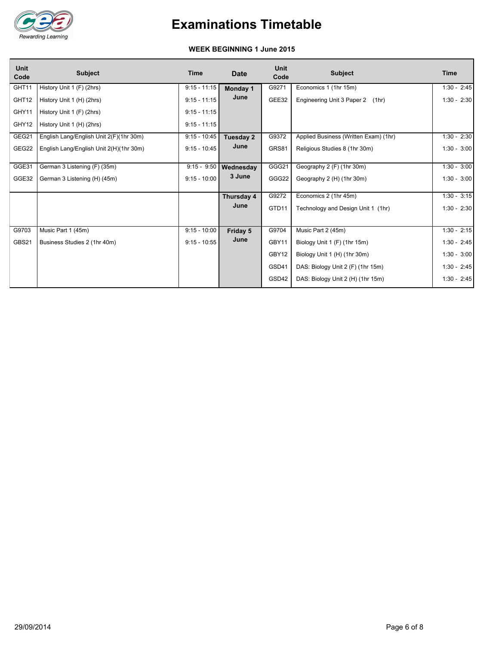

#### **WEEK BEGINNING 1 June 2015**

| <b>Unit</b><br>Code | <b>Subject</b>                          | <b>Time</b>    | <b>Date</b> | <b>Unit</b><br>Code | <b>Subject</b>                        | <b>Time</b>   |
|---------------------|-----------------------------------------|----------------|-------------|---------------------|---------------------------------------|---------------|
| GHT11               | History Unit 1 (F) (2hrs)               | $9:15 - 11:15$ | Monday 1    | G9271               | Economics 1 (1hr 15m)                 | $1:30 - 2:45$ |
| GHT12               | History Unit 1 (H) (2hrs)               | $9:15 - 11:15$ | June        | GEE32               | Engineering Unit 3 Paper 2<br>(1hr)   | $1:30 - 2:30$ |
| GHY11               | History Unit 1 (F) (2hrs)               | $9:15 - 11:15$ |             |                     |                                       |               |
| GHY12               | History Unit 1 (H) (2hrs)               | $9:15 - 11:15$ |             |                     |                                       |               |
| GEG21               | English Lang/English Unit 2(F)(1hr 30m) | $9:15 - 10:45$ | Tuesday 2   | G9372               | Applied Business (Written Exam) (1hr) | $1:30 - 2:30$ |
| GEG22               | English Lang/English Unit 2(H)(1hr 30m) | $9:15 - 10:45$ | June        | GRS81               | Religious Studies 8 (1hr 30m)         | $1:30 - 3:00$ |
| GGE31               | German 3 Listening (F) (35m)            | $9:15 - 9:50$  | Wednesday   | GGG21               | Geography 2 (F) (1hr 30m)             | $1:30 - 3:00$ |
| GGE32               | German 3 Listening (H) (45m)            | $9:15 - 10:00$ | 3 June      | GGG22               | Geography 2 (H) (1hr 30m)             | $1:30 - 3:00$ |
|                     |                                         |                | Thursday 4  | G9272               | Economics 2 (1hr 45m)                 | $1:30 - 3:15$ |
|                     |                                         |                | June        | GTD11               | Technology and Design Unit 1 (1hr)    | $1:30 - 2:30$ |
|                     |                                         |                |             |                     |                                       |               |
| G9703               | Music Part 1 (45m)                      | $9:15 - 10:00$ | Friday 5    | G9704               | Music Part 2 (45m)                    | $1:30 - 2:15$ |
| GBS21               | Business Studies 2 (1hr 40m)            | $9:15 - 10:55$ | June        | GBY11               | Biology Unit 1 (F) (1hr 15m)          | $1:30 - 2:45$ |
|                     |                                         |                |             | GBY12               | Biology Unit 1 (H) (1hr 30m)          | $1:30 - 3:00$ |
|                     |                                         |                |             | GSD41               | DAS: Biology Unit 2 (F) (1hr 15m)     | $1:30 - 2:45$ |
|                     |                                         |                |             | GSD42               | DAS: Biology Unit 2 (H) (1hr 15m)     | $1:30 - 2:45$ |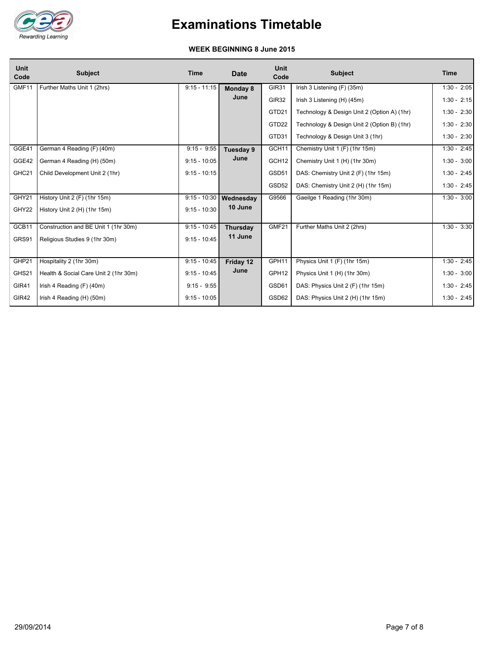

#### **WEEK BEGINNING 8 June 2015**

| <b>Unit</b><br>Code | <b>Subject</b>                        | <b>Time</b>    | <b>Date</b>     | <b>Unit</b><br>Code | <b>Subject</b>                              | <b>Time</b>   |
|---------------------|---------------------------------------|----------------|-----------------|---------------------|---------------------------------------------|---------------|
| GMF11               | Further Maths Unit 1 (2hrs)           | $9:15 - 11:15$ | Monday 8        | GIR31               | Irish 3 Listening (F) (35m)                 | $1:30 - 2:05$ |
|                     |                                       |                | June            | GIR32               | Irish 3 Listening (H) (45m)                 | $1:30 - 2:15$ |
|                     |                                       |                |                 | GTD21               | Technology & Design Unit 2 (Option A) (1hr) | $1:30 - 2:30$ |
|                     |                                       |                |                 | GTD22               | Technology & Design Unit 2 (Option B) (1hr) | $1:30 - 2:30$ |
|                     |                                       |                |                 | GTD31               | Technology & Design Unit 3 (1hr)            | $1:30 - 2:30$ |
| GGE41               | German 4 Reading (F) (40m)            | $9:15 - 9:55$  | Tuesday 9       | GCH11               | Chemistry Unit 1 (F) (1hr 15m)              | $1:30 - 2:45$ |
| GGE42               | German 4 Reading (H) (50m)            | $9:15 - 10:05$ | June            | GCH <sub>12</sub>   | Chemistry Unit 1 (H) (1hr 30m)              | $1:30 - 3:00$ |
| GHC <sub>21</sub>   | Child Development Unit 2 (1hr)        | $9:15 - 10:15$ |                 | GSD51               | DAS: Chemistry Unit 2 (F) (1hr 15m)         | $1:30 - 2:45$ |
|                     |                                       |                |                 | GSD52               | DAS: Chemistry Unit 2 (H) (1hr 15m)         | $1:30 - 2:45$ |
| GHY <sub>21</sub>   | History Unit 2 (F) (1hr 15m)          | $9:15 - 10:30$ | Wednesday       | G9566               | Gaeilge 1 Reading (1hr 30m)                 | $1:30 - 3:00$ |
| GHY22               | History Unit 2 (H) (1hr 15m)          | $9:15 - 10:30$ | 10 June         |                     |                                             |               |
| GCB11               | Construction and BE Unit 1 (1hr 30m)  | $9:15 - 10:45$ | <b>Thursday</b> | GMF <sub>21</sub>   | Further Maths Unit 2 (2hrs)                 | $1:30 - 3:30$ |
| GRS91               | Religious Studies 9 (1hr 30m)         | $9:15 - 10:45$ | 11 June         |                     |                                             |               |
|                     |                                       |                |                 |                     |                                             |               |
| GHP21               | Hospitality 2 (1hr 30m)               | $9:15 - 10:45$ | Friday 12       | GPH11               | Physics Unit 1 (F) (1hr 15m)                | $1:30 - 2:45$ |
| GHS21               | Health & Social Care Unit 2 (1hr 30m) | $9:15 - 10:45$ | June            | GPH12               | Physics Unit 1 (H) (1hr 30m)                | $1:30 - 3:00$ |
|                     |                                       |                |                 |                     |                                             |               |
| GIR41               | Irish 4 Reading (F) (40m)             | $9:15 - 9:55$  |                 | GSD61               | DAS: Physics Unit 2 (F) (1hr 15m)           | $1:30 - 2:45$ |
| GIR42               | Irish 4 Reading (H) (50m)             | $9:15 - 10:05$ |                 | GSD62               | DAS: Physics Unit 2 (H) (1hr 15m)           | $1:30 - 2:45$ |